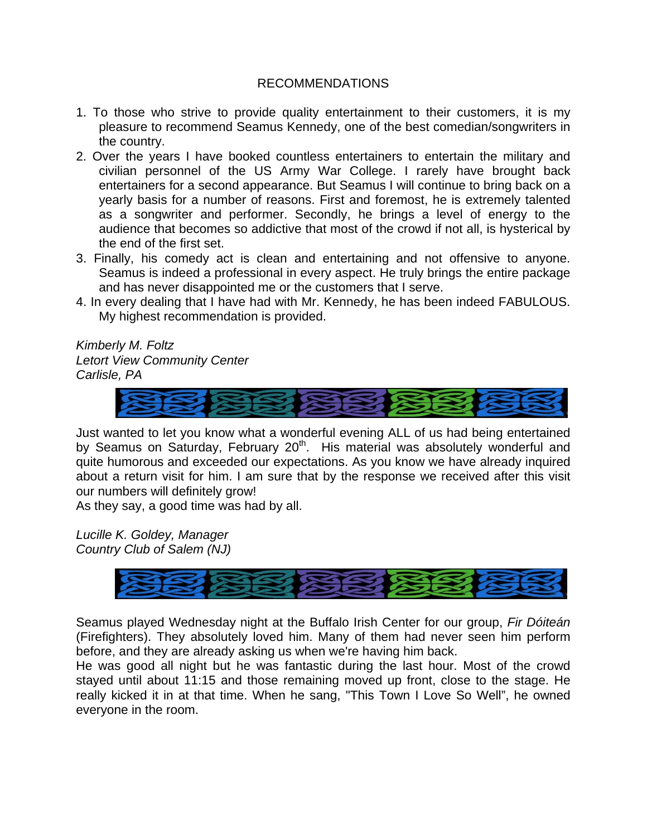### RECOMMENDATIONS

- 1. To those who strive to provide quality entertainment to their customers, it is my pleasure to recommend Seamus Kennedy, one of the best comedian/songwriters in the country.
- 2. Over the years I have booked countless entertainers to entertain the military and civilian personnel of the US Army War College. I rarely have brought back entertainers for a second appearance. But Seamus I will continue to bring back on a yearly basis for a number of reasons. First and foremost, he is extremely talented as a songwriter and performer. Secondly, he brings a level of energy to the audience that becomes so addictive that most of the crowd if not all, is hysterical by the end of the first set.
- 3. Finally, his comedy act is clean and entertaining and not offensive to anyone. Seamus is indeed a professional in every aspect. He truly brings the entire package and has never disappointed me or the customers that I serve.
- 4. In every dealing that I have had with Mr. Kennedy, he has been indeed FABULOUS. My highest recommendation is provided.

*Kimberly M. Foltz Letort View Community Center Carlisle, PA* 



Just wanted to let you know what a wonderful evening ALL of us had being entertained by Seamus on Saturday, February  $20<sup>th</sup>$ . His material was absolutely wonderful and quite humorous and exceeded our expectations. As you know we have already inquired about a return visit for him. I am sure that by the response we received after this visit our numbers will definitely grow!

As they say, a good time was had by all.

*Lucille K. Goldey, Manager Country Club of Salem (NJ)* 



Seamus played Wednesday night at the Buffalo Irish Center for our group, *Fir Dóiteán* (Firefighters). They absolutely loved him. Many of them had never seen him perform before, and they are already asking us when we're having him back.

He was good all night but he was fantastic during the last hour. Most of the crowd stayed until about 11:15 and those remaining moved up front, close to the stage. He really kicked it in at that time. When he sang, "This Town I Love So Well", he owned everyone in the room.